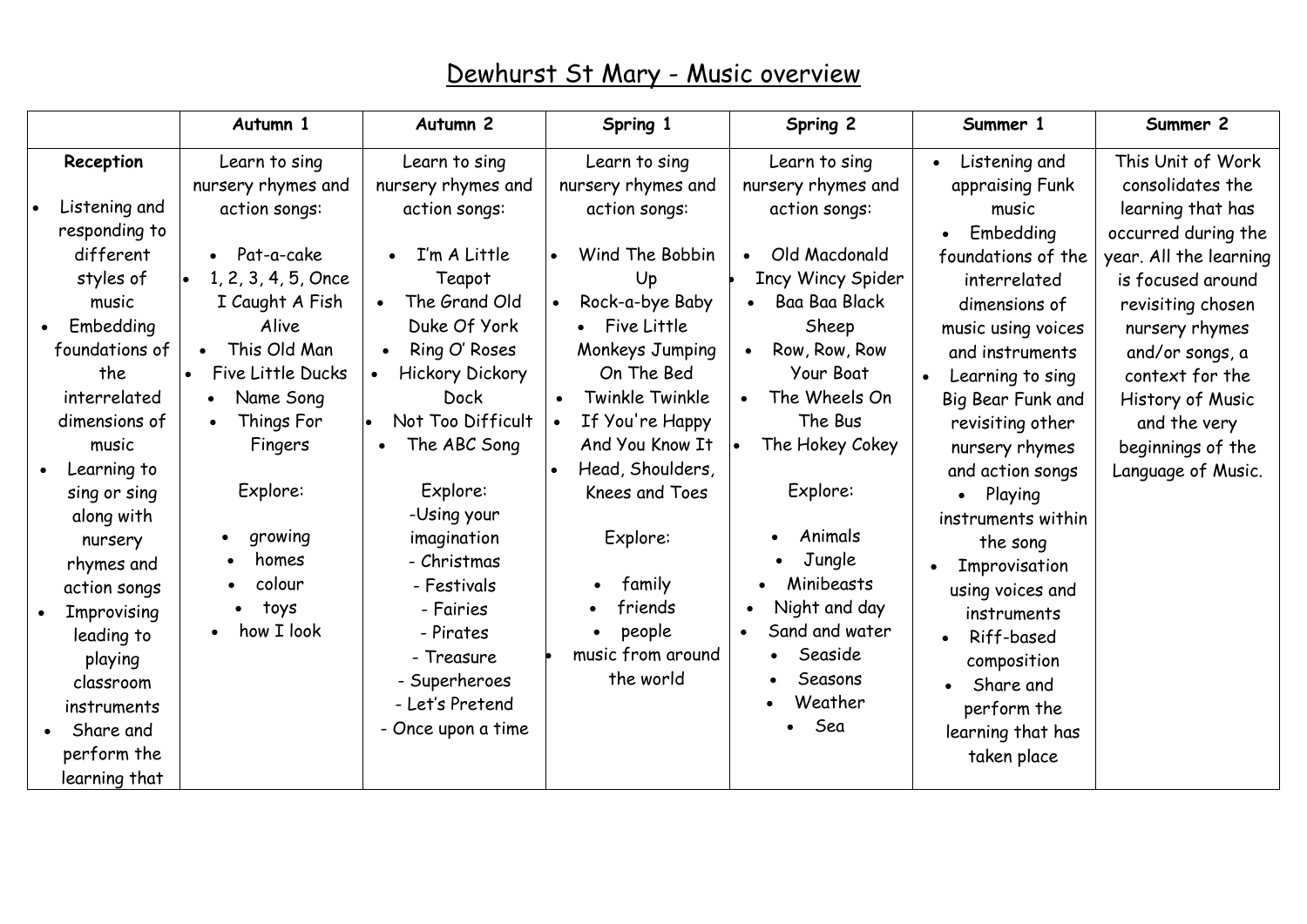|                                                                                                                                                                                                                               | Autumn 1                                                                                                                                      | Autumn <sub>2</sub>                                                                                                                                                                                         | Spring 1                                                                                                                                                                               | Spring 2                                                                                                                                                          | Summer 1                                                                                                                                                                                                                                                                  | Summer 2                                                                                                                                                             |
|-------------------------------------------------------------------------------------------------------------------------------------------------------------------------------------------------------------------------------|-----------------------------------------------------------------------------------------------------------------------------------------------|-------------------------------------------------------------------------------------------------------------------------------------------------------------------------------------------------------------|----------------------------------------------------------------------------------------------------------------------------------------------------------------------------------------|-------------------------------------------------------------------------------------------------------------------------------------------------------------------|---------------------------------------------------------------------------------------------------------------------------------------------------------------------------------------------------------------------------------------------------------------------------|----------------------------------------------------------------------------------------------------------------------------------------------------------------------|
| Reception                                                                                                                                                                                                                     | Learn to sing<br>nursery rhymes and                                                                                                           | Learn to sing<br>nursery rhymes and                                                                                                                                                                         | Learn to sing<br>nursery rhymes and                                                                                                                                                    | Learn to sing<br>nursery rhymes and                                                                                                                               | Listening and<br>appraising Funk                                                                                                                                                                                                                                          | This Unit of Work<br>consolidates the                                                                                                                                |
| Listening and<br>responding to<br>different<br>styles of<br>music<br>Embedding<br>foundations of<br>the<br>interrelated                                                                                                       | action songs:<br>Pat-a-cake<br>1, 2, 3, 4, 5, Once<br>I Caught A Fish<br>Alive<br>This Old Man<br>$\bullet$<br>Five Little Ducks<br>Name Song | action songs:<br>I'm A Little<br>Teapot<br>The Grand Old<br>Duke Of York<br>Ring O' Roses<br>$\bullet$<br><b>Hickory Dickory</b><br><b>Dock</b>                                                             | action songs:<br>Wind The Bobbin<br>$\bullet$<br>Up<br>Rock-a-bye Baby<br>$\bullet$<br>Five Little<br>Monkeys Jumping<br>On The Bed<br>Twinkle Twinkle<br>$\bullet$                    | action songs:<br>Old Macdonald<br>Incy Wincy Spider<br>Baa Baa Black<br>Sheep<br>Row, Row, Row<br>Your Boat<br>The Wheels On                                      | music<br>Embedding<br>foundations of the<br>interrelated<br>dimensions of<br>music using voices<br>and instruments<br>Learning to sing                                                                                                                                    | learning that has<br>occurred during the<br>year. All the learning<br>is focused around<br>revisiting chosen<br>nursery rhymes<br>and/or songs, a<br>context for the |
| dimensions of<br>music<br>Learning to<br>sing or sing<br>along with<br>nursery<br>rhymes and<br>action songs<br>Improvising<br>leading to<br>playing<br>classroom<br>instruments<br>Share and<br>perform the<br>learning that | Things For<br>Fingers<br>Explore:<br>growing<br>homes<br>colour<br>toys<br>$\bullet$<br>how I look                                            | Not Too Difficult<br>The ABC Song<br>Explore:<br>-Using your<br>imagination<br>- Christmas<br>- Festivals<br>- Fairies<br>- Pirates<br>- Treasure<br>- Superheroes<br>- Let's Pretend<br>- Once upon a time | If You're Happy<br>And You Know It<br>Head, Shoulders,<br>$\bullet$<br><b>Knees and Toes</b><br>Explore:<br>family<br>friends<br>people<br>$\bullet$<br>music from around<br>the world | The Bus<br>The Hokey Cokey<br>Explore:<br>Animals<br>Jungle<br>Minibeasts<br>Night and day<br>Sand and water<br>Seaside<br>$\bullet$<br>Seasons<br>Weather<br>Sea | Big Bear Funk and<br>revisiting other<br>nursery rhymes<br>and action songs<br>Playing<br>instruments within<br>the song<br>Improvisation<br>using voices and<br>instruments<br>Riff-based<br>composition<br>Share and<br>perform the<br>learning that has<br>taken place | History of Music<br>and the very<br>beginnings of the<br>Language of Music.                                                                                          |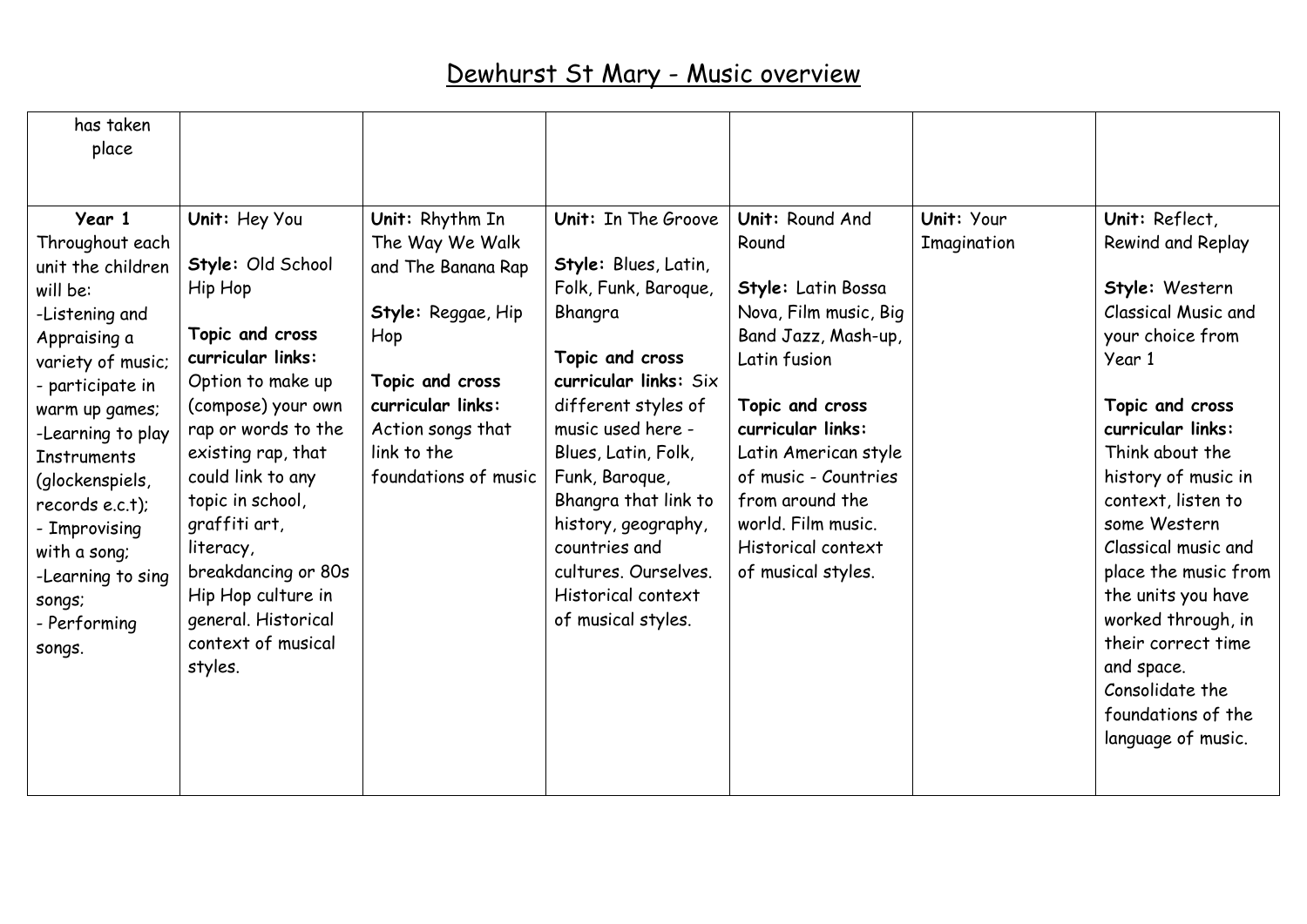| has taken<br>place                                                                                                                                                                                                                                                                                                                   |                                                                                                                                                                                                                                                                                                                                                           |                                                                                                                                                                                           |                                                                                                                                                                                                                                                                                                                                                     |                                                                                                                                                                                                                                                                                             |                           |                                                                                                                                                                                                                                                                                                                                                                                                                                  |
|--------------------------------------------------------------------------------------------------------------------------------------------------------------------------------------------------------------------------------------------------------------------------------------------------------------------------------------|-----------------------------------------------------------------------------------------------------------------------------------------------------------------------------------------------------------------------------------------------------------------------------------------------------------------------------------------------------------|-------------------------------------------------------------------------------------------------------------------------------------------------------------------------------------------|-----------------------------------------------------------------------------------------------------------------------------------------------------------------------------------------------------------------------------------------------------------------------------------------------------------------------------------------------------|---------------------------------------------------------------------------------------------------------------------------------------------------------------------------------------------------------------------------------------------------------------------------------------------|---------------------------|----------------------------------------------------------------------------------------------------------------------------------------------------------------------------------------------------------------------------------------------------------------------------------------------------------------------------------------------------------------------------------------------------------------------------------|
| Year 1<br>Throughout each<br>unit the children<br>will be:<br>-Listening and<br>Appraising a<br>variety of music;<br>- participate in<br>warm up games;<br>-Learning to play<br><b>Instruments</b><br>(glockenspiels,<br>$records$ e.c.t);<br>- Improvising<br>with a song;<br>-Learning to sing<br>songs;<br>- Performing<br>songs. | Unit: Hey You<br>Style: Old School<br>Hip Hop<br>Topic and cross<br>curricular links:<br>Option to make up<br>(compose) your own<br>rap or words to the<br>existing rap, that<br>could link to any<br>topic in school,<br>graffiti art,<br>literacy,<br>breakdancing or 80s<br>Hip Hop culture in<br>general. Historical<br>context of musical<br>styles. | Unit: Rhythm In<br>The Way We Walk<br>and The Banana Rap<br>Style: Reggae, Hip<br>Hop<br>Topic and cross<br>curricular links:<br>Action songs that<br>link to the<br>foundations of music | Unit: In The Groove<br>Style: Blues, Latin,<br>Folk, Funk, Baroque,<br>Bhangra<br>Topic and cross<br>curricular links: Six<br>different styles of<br>music used here -<br>Blues, Latin, Folk,<br>Funk, Baroque,<br>Bhangra that link to<br>history, geography,<br>countries and<br>cultures. Ourselves.<br>Historical context<br>of musical styles. | Unit: Round And<br>Round<br>Style: Latin Bossa<br>Nova, Film music, Big<br>Band Jazz, Mash-up,<br>Latin fusion<br>Topic and cross<br>curricular links:<br>Latin American style<br>of music - Countries<br>from around the<br>world. Film music.<br>Historical context<br>of musical styles. | Unit: Your<br>Imagination | Unit: Reflect,<br>Rewind and Replay<br>Style: Western<br>Classical Music and<br>your choice from<br>Year 1<br>Topic and cross<br>curricular links:<br>Think about the<br>history of music in<br>context, listen to<br>some Western<br>Classical music and<br>place the music from<br>the units you have<br>worked through, in<br>their correct time<br>and space.<br>Consolidate the<br>foundations of the<br>language of music. |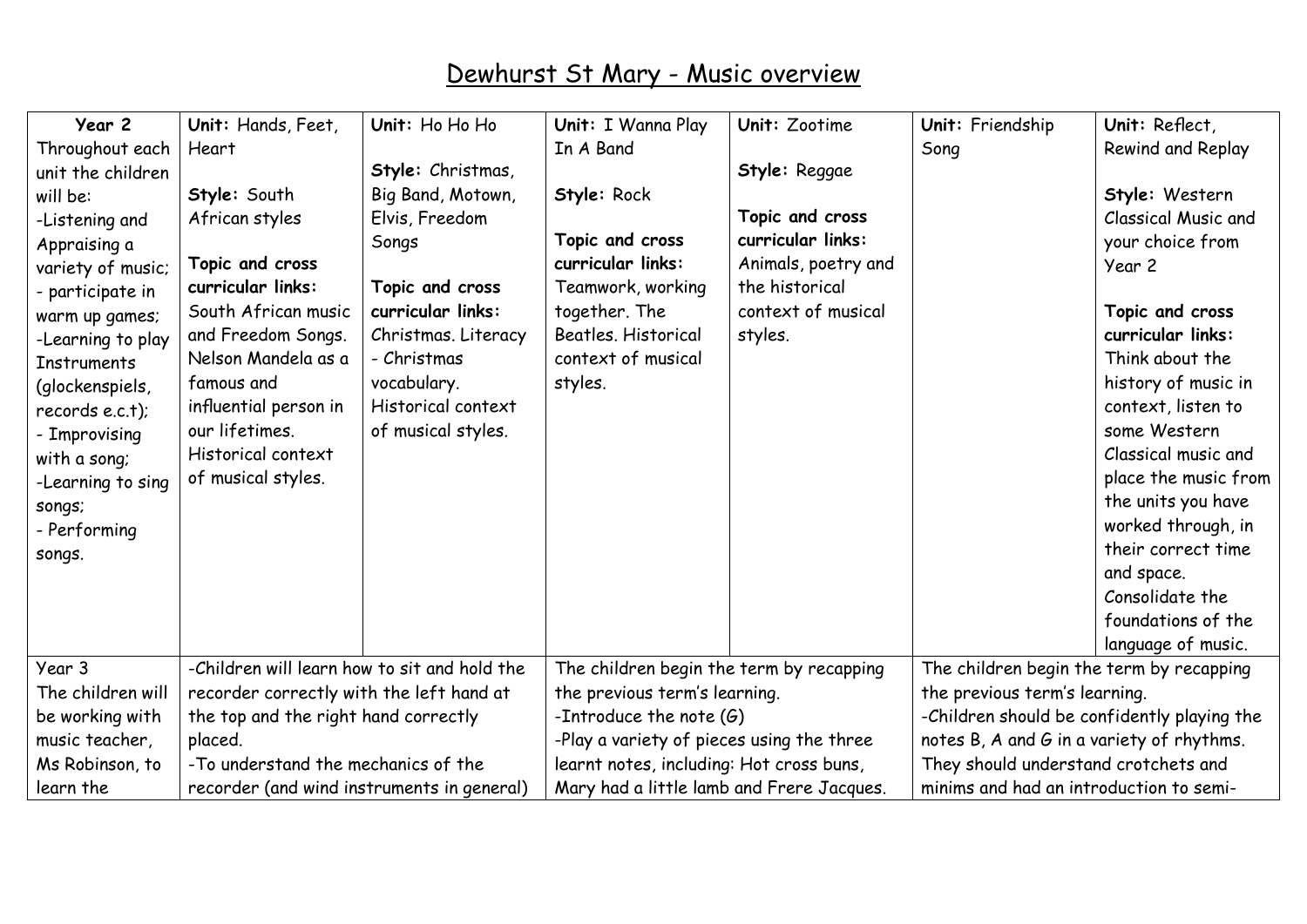| Year 2             | Unit: Hands, Feet,                           | Unit: Ho Ho Ho      | Unit: I Wanna Play                        | Unit: Zootime       | Unit: Friendship                            | Unit: Reflect,             |
|--------------------|----------------------------------------------|---------------------|-------------------------------------------|---------------------|---------------------------------------------|----------------------------|
| Throughout each    | Heart                                        |                     | In A Band                                 |                     | Song                                        | <b>Rewind and Replay</b>   |
| unit the children  |                                              | Style: Christmas,   |                                           | Style: Reggae       |                                             |                            |
| will be:           | Style: South                                 | Big Band, Motown,   | Style: Rock                               |                     |                                             | Style: Western             |
| -Listening and     | African styles                               | Elvis, Freedom      |                                           | Topic and cross     |                                             | <b>Classical Music and</b> |
| Appraising a       |                                              | Songs               | Topic and cross                           | curricular links:   |                                             | your choice from           |
| variety of music;  | Topic and cross                              |                     | curricular links:                         | Animals, poetry and |                                             | Year 2                     |
| - participate in   | curricular links:                            | Topic and cross     | Teamwork, working                         | the historical      |                                             |                            |
| warm up games;     | South African music                          | curricular links:   | together. The                             | context of musical  |                                             | Topic and cross            |
| -Learning to play  | and Freedom Songs.                           | Christmas. Literacy | Beatles. Historical                       | styles.             |                                             | curricular links:          |
| <b>Instruments</b> | Nelson Mandela as a                          | - Christmas         | context of musical                        |                     |                                             | Think about the            |
| (glockenspiels,    | famous and                                   | vocabulary.         | styles.                                   |                     |                                             | history of music in        |
| records $e.c.t$ ); | influential person in                        | Historical context  |                                           |                     |                                             | context, listen to         |
| - Improvising      | our lifetimes.                               | of musical styles.  |                                           |                     |                                             | some Western               |
| with a song;       | Historical context                           |                     |                                           |                     |                                             | Classical music and        |
| -Learning to sing  | of musical styles.                           |                     |                                           |                     |                                             | place the music from       |
| songs;             |                                              |                     |                                           |                     |                                             | the units you have         |
| - Performing       |                                              |                     |                                           |                     |                                             | worked through, in         |
| songs.             |                                              |                     |                                           |                     |                                             | their correct time         |
|                    |                                              |                     |                                           |                     |                                             | and space.                 |
|                    |                                              |                     |                                           |                     |                                             | Consolidate the            |
|                    |                                              |                     |                                           |                     |                                             | foundations of the         |
|                    |                                              |                     |                                           |                     |                                             | language of music.         |
| Year 3             | -Children will learn how to sit and hold the |                     | The children begin the term by recapping  |                     | The children begin the term by recapping    |                            |
| The children will  | recorder correctly with the left hand at     |                     | the previous term's learning.             |                     | the previous term's learning.               |                            |
| be working with    | the top and the right hand correctly         |                     | -Introduce the note $(G)$                 |                     | -Children should be confidently playing the |                            |
| music teacher,     | placed.                                      |                     | -Play a variety of pieces using the three |                     | notes B, A and G in a variety of rhythms.   |                            |
| Ms Robinson, to    | -To understand the mechanics of the          |                     | learnt notes, including: Hot cross buns,  |                     | They should understand crotchets and        |                            |
| learn the          | recorder (and wind instruments in general)   |                     | Mary had a little lamb and Frere Jacques. |                     | minims and had an introduction to semi-     |                            |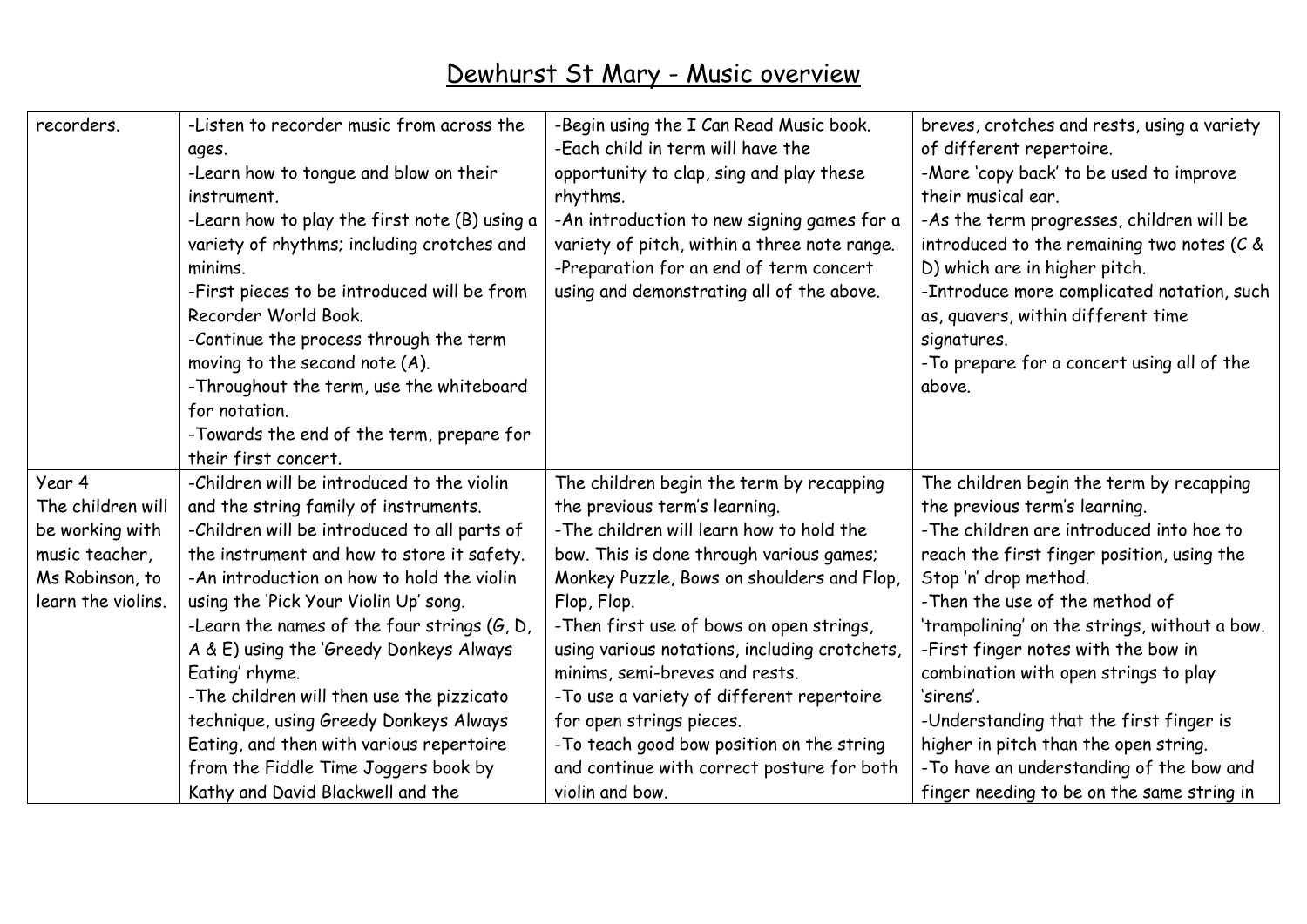| recorders.         | -Listen to recorder music from across the       | -Begin using the I Can Read Music book.       | breves, crotches and rests, using a variety   |
|--------------------|-------------------------------------------------|-----------------------------------------------|-----------------------------------------------|
|                    | ages.                                           | -Each child in term will have the             | of different repertoire.                      |
|                    | -Learn how to tongue and blow on their          | opportunity to clap, sing and play these      | -More 'copy back' to be used to improve       |
|                    | instrument.                                     | rhythms.                                      | their musical ear.                            |
|                    | -Learn how to play the first note (B) using a   | -An introduction to new signing games for a   | -As the term progresses, children will be     |
|                    | variety of rhythms; including crotches and      | variety of pitch, within a three note range.  | introduced to the remaining two notes ( $C$ & |
|                    | minims.                                         | -Preparation for an end of term concert       | D) which are in higher pitch.                 |
|                    | -First pieces to be introduced will be from     | using and demonstrating all of the above.     | -Introduce more complicated notation, such    |
|                    | Recorder World Book.                            |                                               | as, quavers, within different time            |
|                    | -Continue the process through the term          |                                               | signatures.                                   |
|                    | moving to the second note (A).                  |                                               | -To prepare for a concert using all of the    |
|                    | -Throughout the term, use the whiteboard        |                                               | above.                                        |
|                    | for notation.                                   |                                               |                                               |
|                    | -Towards the end of the term, prepare for       |                                               |                                               |
|                    | their first concert.                            |                                               |                                               |
| Year 4             | -Children will be introduced to the violin      | The children begin the term by recapping      | The children begin the term by recapping      |
| The children will  | and the string family of instruments.           | the previous term's learning.                 | the previous term's learning.                 |
| be working with    | -Children will be introduced to all parts of    | -The children will learn how to hold the      | -The children are introduced into hoe to      |
| music teacher,     | the instrument and how to store it safety.      | bow. This is done through various games;      | reach the first finger position, using the    |
| Ms Robinson, to    | -An introduction on how to hold the violin      | Monkey Puzzle, Bows on shoulders and Flop,    | Stop 'n' drop method.                         |
| learn the violins. | using the 'Pick Your Violin Up' song.           | Flop, Flop.                                   | -Then the use of the method of                |
|                    | -Learn the names of the four strings $(G, D)$ , | -Then first use of bows on open strings,      | 'trampolining' on the strings, without a bow. |
|                    | A & E) using the 'Greedy Donkeys Always         | using various notations, including crotchets, | -First finger notes with the bow in           |
|                    | Eating' rhyme.                                  | minims, semi-breves and rests.                | combination with open strings to play         |
|                    | -The children will then use the pizzicato       | -To use a variety of different repertoire     | 'sirens'.                                     |
|                    | technique, using Greedy Donkeys Always          | for open strings pieces.                      | -Understanding that the first finger is       |
|                    | Eating, and then with various repertoire        | -To teach good bow position on the string     | higher in pitch than the open string.         |
|                    | from the Fiddle Time Joggers book by            | and continue with correct posture for both    | -To have an understanding of the bow and      |
|                    | Kathy and David Blackwell and the               | violin and bow.                               | finger needing to be on the same string in    |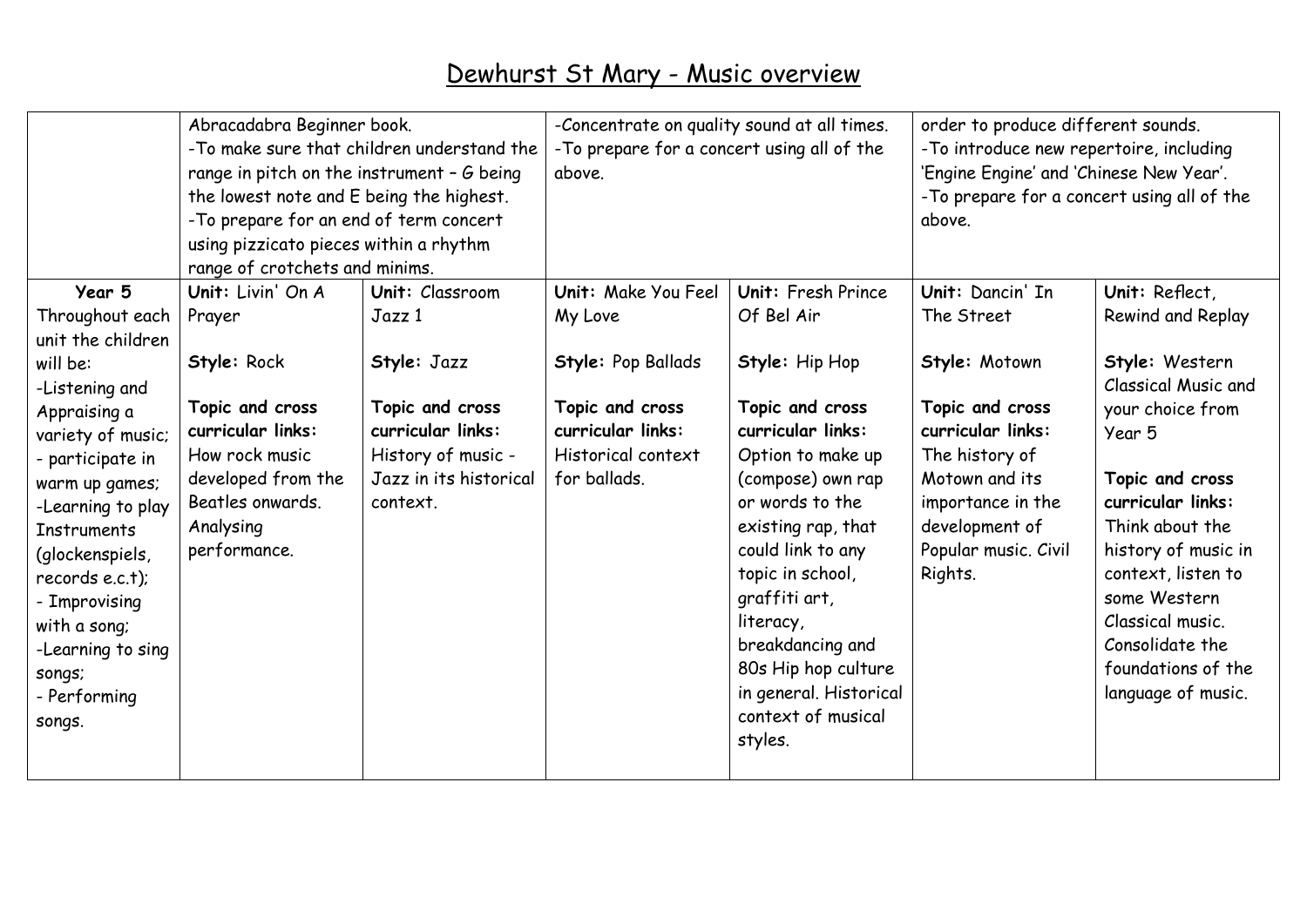|                                      | Abracadabra Beginner book.<br>-To make sure that children understand the<br>range in pitch on the instrument - $G$ being<br>the lowest note and E being the highest.<br>-To prepare for an end of term concert<br>using pizzicato pieces within a rhythm<br>range of crotchets and minims. |                        | -Concentrate on quality sound at all times.<br>-To prepare for a concert using all of the<br>above. |                        | order to produce different sounds.<br>-To introduce new repertoire, including<br>'Engine Engine' and 'Chinese New Year'.<br>-To prepare for a concert using all of the<br>above. |                                       |
|--------------------------------------|--------------------------------------------------------------------------------------------------------------------------------------------------------------------------------------------------------------------------------------------------------------------------------------------|------------------------|-----------------------------------------------------------------------------------------------------|------------------------|----------------------------------------------------------------------------------------------------------------------------------------------------------------------------------|---------------------------------------|
| Year 5                               | Unit: Livin' On A                                                                                                                                                                                                                                                                          | Unit: Classroom        | Unit: Make You Feel                                                                                 | Unit: Fresh Prince     | Unit: Dancin' In                                                                                                                                                                 | Unit: Reflect,                        |
| Throughout each<br>unit the children | Prayer                                                                                                                                                                                                                                                                                     | Jazz 1                 | My Love                                                                                             | Of Bel Air             | The Street                                                                                                                                                                       | Rewind and Replay                     |
| will be:<br>-Listening and           | Style: Rock                                                                                                                                                                                                                                                                                | Style: Jazz            | Style: Pop Ballads                                                                                  | Style: Hip Hop         | Style: Motown                                                                                                                                                                    | Style: Western<br>Classical Music and |
| Appraising a                         | Topic and cross                                                                                                                                                                                                                                                                            | Topic and cross        | Topic and cross                                                                                     | Topic and cross        | Topic and cross                                                                                                                                                                  | your choice from                      |
| variety of music;                    | curricular links:                                                                                                                                                                                                                                                                          | curricular links:      | curricular links:                                                                                   | curricular links:      | curricular links:                                                                                                                                                                | Year 5                                |
| - participate in                     | How rock music                                                                                                                                                                                                                                                                             | History of music -     | Historical context                                                                                  | Option to make up      | The history of                                                                                                                                                                   |                                       |
| warm up games;                       | developed from the                                                                                                                                                                                                                                                                         | Jazz in its historical | for ballads.                                                                                        | (compose) own rap      | Motown and its                                                                                                                                                                   | Topic and cross                       |
| -Learning to play                    | Beatles onwards.                                                                                                                                                                                                                                                                           | context.               |                                                                                                     | or words to the        | importance in the                                                                                                                                                                | curricular links:                     |
| <b>Instruments</b>                   | Analysing                                                                                                                                                                                                                                                                                  |                        |                                                                                                     | existing rap, that     | development of                                                                                                                                                                   | Think about the                       |
| (glockenspiels,                      | performance.                                                                                                                                                                                                                                                                               |                        |                                                                                                     | could link to any      | Popular music. Civil                                                                                                                                                             | history of music in                   |
| records e.c.t);                      |                                                                                                                                                                                                                                                                                            |                        |                                                                                                     | topic in school,       | Rights.                                                                                                                                                                          | context, listen to                    |
| - Improvising                        |                                                                                                                                                                                                                                                                                            |                        |                                                                                                     | graffiti art,          |                                                                                                                                                                                  | some Western                          |
| with a song;                         |                                                                                                                                                                                                                                                                                            |                        |                                                                                                     | literacy,              |                                                                                                                                                                                  | Classical music.                      |
| -Learning to sing                    |                                                                                                                                                                                                                                                                                            |                        |                                                                                                     | breakdancing and       |                                                                                                                                                                                  | Consolidate the                       |
| songs;                               |                                                                                                                                                                                                                                                                                            |                        |                                                                                                     | 80s Hip hop culture    |                                                                                                                                                                                  | foundations of the                    |
| - Performing                         |                                                                                                                                                                                                                                                                                            |                        |                                                                                                     | in general. Historical |                                                                                                                                                                                  | language of music.                    |
| songs.                               |                                                                                                                                                                                                                                                                                            |                        |                                                                                                     | context of musical     |                                                                                                                                                                                  |                                       |
|                                      |                                                                                                                                                                                                                                                                                            |                        |                                                                                                     | styles.                |                                                                                                                                                                                  |                                       |
|                                      |                                                                                                                                                                                                                                                                                            |                        |                                                                                                     |                        |                                                                                                                                                                                  |                                       |